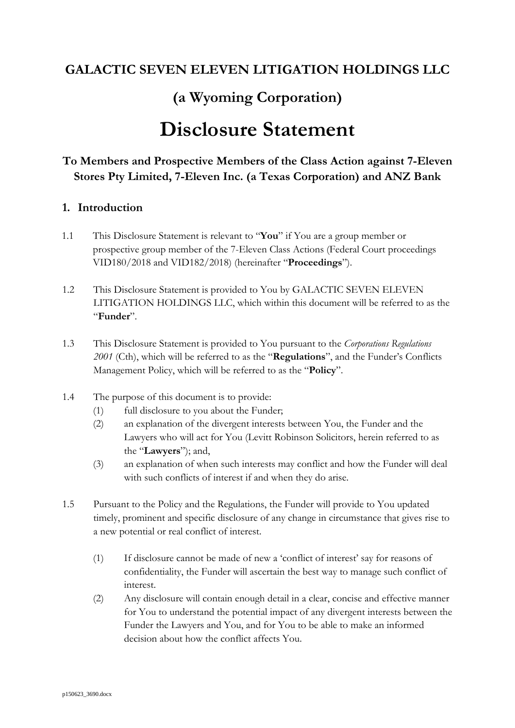## **GALACTIC SEVEN ELEVEN LITIGATION HOLDINGS LLC**

# **(a Wyoming Corporation)**

# **Disclosure Statement**

## **To Members and Prospective Members of the Class Action against 7-Eleven Stores Pty Limited, 7-Eleven Inc. (a Texas Corporation) and ANZ Bank**

#### **1. Introduction**

- 1.1 This Disclosure Statement is relevant to "**You**" if You are a group member or prospective group member of the 7-Eleven Class Actions (Federal Court proceedings VID180/2018 and VID182/2018) (hereinafter "**Proceedings**").
- 1.2 This Disclosure Statement is provided to You by GALACTIC SEVEN ELEVEN LITIGATION HOLDINGS LLC, which within this document will be referred to as the "**Funder**".
- 1.3 This Disclosure Statement is provided to You pursuant to the *Corporations Regulations 2001* (Cth), which will be referred to as the "**Regulations**", and the Funder's Conflicts Management Policy, which will be referred to as the "**Policy**".
- 1.4 The purpose of this document is to provide:
	- (1) full disclosure to you about the Funder;
	- (2) an explanation of the divergent interests between You, the Funder and the Lawyers who will act for You (Levitt Robinson Solicitors, herein referred to as the "**Lawyers**"); and,
	- (3) an explanation of when such interests may conflict and how the Funder will deal with such conflicts of interest if and when they do arise.
- 1.5 Pursuant to the Policy and the Regulations, the Funder will provide to You updated timely, prominent and specific disclosure of any change in circumstance that gives rise to a new potential or real conflict of interest.
	- (1) If disclosure cannot be made of new a 'conflict of interest' say for reasons of confidentiality, the Funder will ascertain the best way to manage such conflict of interest.
	- (2) Any disclosure will contain enough detail in a clear, concise and effective manner for You to understand the potential impact of any divergent interests between the Funder the Lawyers and You, and for You to be able to make an informed decision about how the conflict affects You.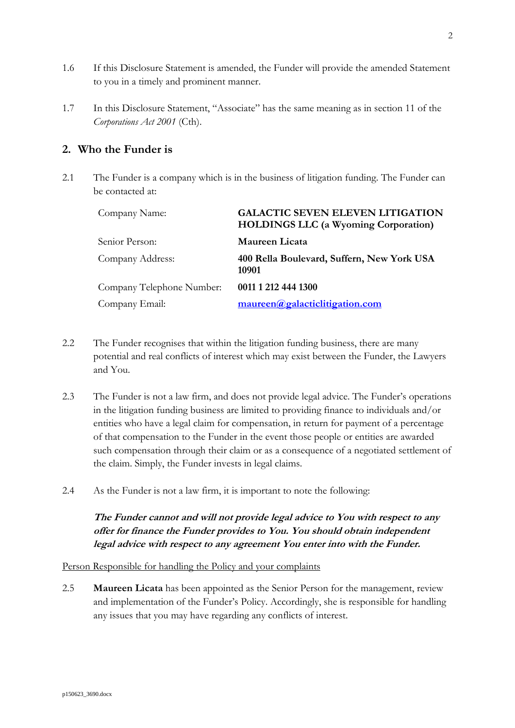- 1.6 If this Disclosure Statement is amended, the Funder will provide the amended Statement to you in a timely and prominent manner.
- 1.7 In this Disclosure Statement, "Associate" has the same meaning as in section 11 of the *Corporations Act 2001* (Cth).

#### **2. Who the Funder is**

2.1 The Funder is a company which is in the business of litigation funding. The Funder can be contacted at:

| Company Name:             | <b>GALACTIC SEVEN ELEVEN LITIGATION</b><br><b>HOLDINGS LLC</b> (a Wyoming Corporation) |
|---------------------------|----------------------------------------------------------------------------------------|
| Senior Person:            | Maureen Licata                                                                         |
| Company Address:          | 400 Rella Boulevard, Suffern, New York USA<br>10901                                    |
| Company Telephone Number: | 0011 1 212 444 1300                                                                    |
| Company Email:            | maureen@galacticlitigation.com                                                         |

- 2.2 The Funder recognises that within the litigation funding business, there are many potential and real conflicts of interest which may exist between the Funder, the Lawyers and You.
- 2.3 The Funder is not a law firm, and does not provide legal advice. The Funder's operations in the litigation funding business are limited to providing finance to individuals and/or entities who have a legal claim for compensation, in return for payment of a percentage of that compensation to the Funder in the event those people or entities are awarded such compensation through their claim or as a consequence of a negotiated settlement of the claim. Simply, the Funder invests in legal claims.
- 2.4 As the Funder is not a law firm, it is important to note the following:

#### **The Funder cannot and will not provide legal advice to You with respect to any offer for finance the Funder provides to You. You should obtain independent legal advice with respect to any agreement You enter into with the Funder.**

Person Responsible for handling the Policy and your complaints

2.5 **Maureen Licata** has been appointed as the Senior Person for the management, review and implementation of the Funder's Policy. Accordingly, she is responsible for handling any issues that you may have regarding any conflicts of interest.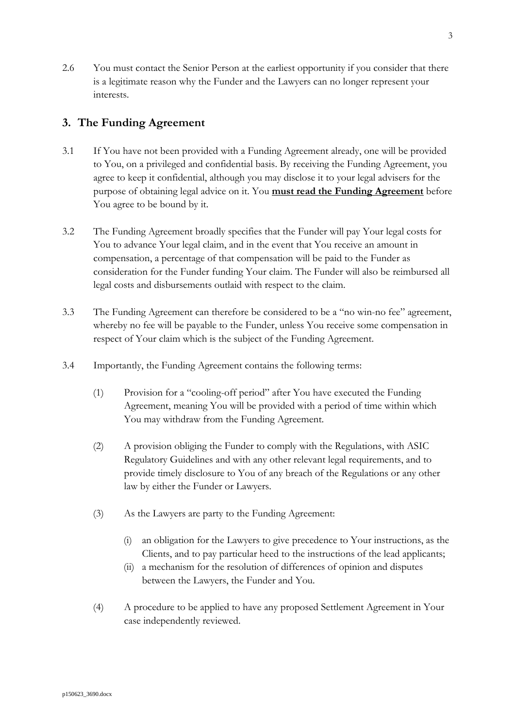2.6 You must contact the Senior Person at the earliest opportunity if you consider that there is a legitimate reason why the Funder and the Lawyers can no longer represent your interests.

#### **3. The Funding Agreement**

- 3.1 If You have not been provided with a Funding Agreement already, one will be provided to You, on a privileged and confidential basis. By receiving the Funding Agreement, you agree to keep it confidential, although you may disclose it to your legal advisers for the purpose of obtaining legal advice on it. You **must read the Funding Agreement** before You agree to be bound by it.
- 3.2 The Funding Agreement broadly specifies that the Funder will pay Your legal costs for You to advance Your legal claim, and in the event that You receive an amount in compensation, a percentage of that compensation will be paid to the Funder as consideration for the Funder funding Your claim. The Funder will also be reimbursed all legal costs and disbursements outlaid with respect to the claim.
- 3.3 The Funding Agreement can therefore be considered to be a "no win-no fee" agreement, whereby no fee will be payable to the Funder, unless You receive some compensation in respect of Your claim which is the subject of the Funding Agreement.
- 3.4 Importantly, the Funding Agreement contains the following terms:
	- (1) Provision for a "cooling-off period" after You have executed the Funding Agreement, meaning You will be provided with a period of time within which You may withdraw from the Funding Agreement.
	- (2) A provision obliging the Funder to comply with the Regulations, with ASIC Regulatory Guidelines and with any other relevant legal requirements, and to provide timely disclosure to You of any breach of the Regulations or any other law by either the Funder or Lawyers.
	- (3) As the Lawyers are party to the Funding Agreement:
		- (i) an obligation for the Lawyers to give precedence to Your instructions, as the Clients, and to pay particular heed to the instructions of the lead applicants;
		- (ii) a mechanism for the resolution of differences of opinion and disputes between the Lawyers, the Funder and You.
	- (4) A procedure to be applied to have any proposed Settlement Agreement in Your case independently reviewed.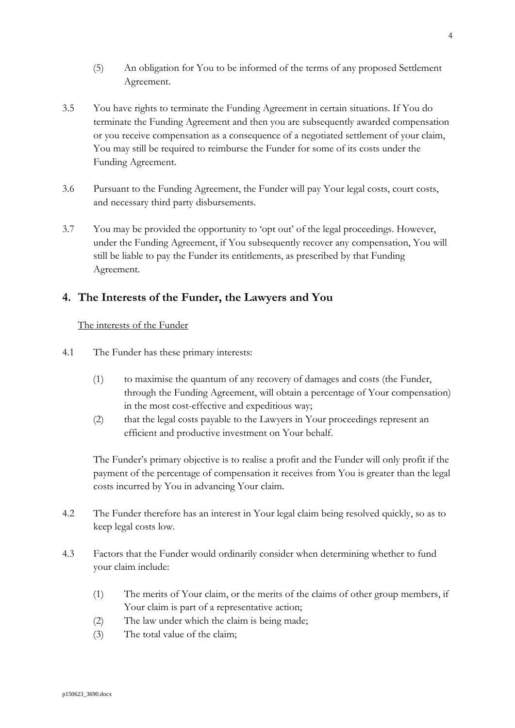- (5) An obligation for You to be informed of the terms of any proposed Settlement Agreement.
- 3.5 You have rights to terminate the Funding Agreement in certain situations. If You do terminate the Funding Agreement and then you are subsequently awarded compensation or you receive compensation as a consequence of a negotiated settlement of your claim, You may still be required to reimburse the Funder for some of its costs under the Funding Agreement.
- 3.6 Pursuant to the Funding Agreement, the Funder will pay Your legal costs, court costs, and necessary third party disbursements.
- 3.7 You may be provided the opportunity to 'opt out' of the legal proceedings. However, under the Funding Agreement, if You subsequently recover any compensation, You will still be liable to pay the Funder its entitlements, as prescribed by that Funding Agreement.

#### **4. The Interests of the Funder, the Lawyers and You**

#### The interests of the Funder

- 4.1 The Funder has these primary interests:
	- (1) to maximise the quantum of any recovery of damages and costs (the Funder, through the Funding Agreement, will obtain a percentage of Your compensation) in the most cost-effective and expeditious way;
	- (2) that the legal costs payable to the Lawyers in Your proceedings represent an efficient and productive investment on Your behalf.

The Funder's primary objective is to realise a profit and the Funder will only profit if the payment of the percentage of compensation it receives from You is greater than the legal costs incurred by You in advancing Your claim.

- 4.2 The Funder therefore has an interest in Your legal claim being resolved quickly, so as to keep legal costs low.
- 4.3 Factors that the Funder would ordinarily consider when determining whether to fund your claim include:
	- (1) The merits of Your claim, or the merits of the claims of other group members, if Your claim is part of a representative action;
	- (2) The law under which the claim is being made;
	- (3) The total value of the claim;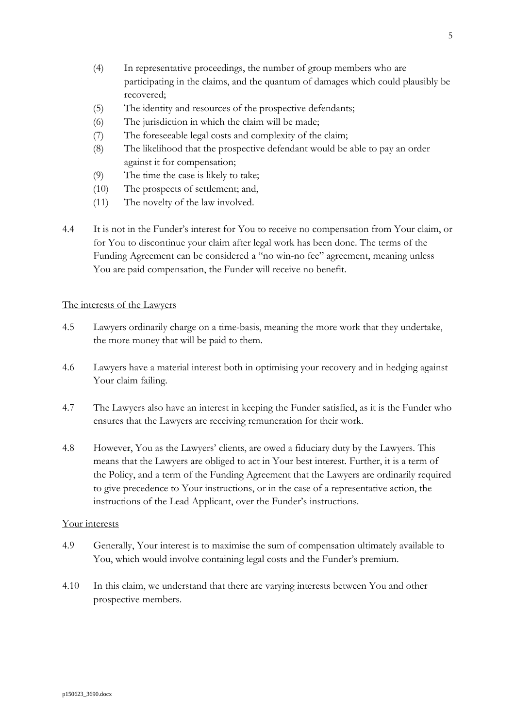- (4) In representative proceedings, the number of group members who are participating in the claims, and the quantum of damages which could plausibly be recovered;
- (5) The identity and resources of the prospective defendants;
- (6) The jurisdiction in which the claim will be made;
- (7) The foreseeable legal costs and complexity of the claim;
- (8) The likelihood that the prospective defendant would be able to pay an order against it for compensation;
- (9) The time the case is likely to take;
- (10) The prospects of settlement; and,
- (11) The novelty of the law involved.
- 4.4 It is not in the Funder's interest for You to receive no compensation from Your claim, or for You to discontinue your claim after legal work has been done. The terms of the Funding Agreement can be considered a "no win-no fee" agreement, meaning unless You are paid compensation, the Funder will receive no benefit.

#### The interests of the Lawyers

- 4.5 Lawyers ordinarily charge on a time-basis, meaning the more work that they undertake, the more money that will be paid to them.
- 4.6 Lawyers have a material interest both in optimising your recovery and in hedging against Your claim failing.
- 4.7 The Lawyers also have an interest in keeping the Funder satisfied, as it is the Funder who ensures that the Lawyers are receiving remuneration for their work.
- 4.8 However, You as the Lawyers' clients, are owed a fiduciary duty by the Lawyers. This means that the Lawyers are obliged to act in Your best interest. Further, it is a term of the Policy, and a term of the Funding Agreement that the Lawyers are ordinarily required to give precedence to Your instructions, or in the case of a representative action, the instructions of the Lead Applicant, over the Funder's instructions.

#### Your interests

- 4.9 Generally, Your interest is to maximise the sum of compensation ultimately available to You, which would involve containing legal costs and the Funder's premium.
- 4.10 In this claim, we understand that there are varying interests between You and other prospective members.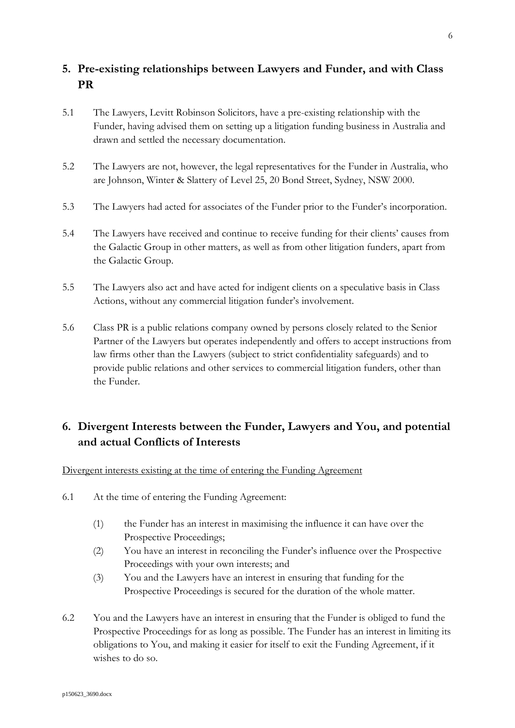### **5. Pre-existing relationships between Lawyers and Funder, and with Class PR**

- 5.1 The Lawyers, Levitt Robinson Solicitors, have a pre-existing relationship with the Funder, having advised them on setting up a litigation funding business in Australia and drawn and settled the necessary documentation.
- 5.2 The Lawyers are not, however, the legal representatives for the Funder in Australia, who are Johnson, Winter & Slattery of Level 25, 20 Bond Street, Sydney, NSW 2000.
- 5.3 The Lawyers had acted for associates of the Funder prior to the Funder's incorporation.
- 5.4 The Lawyers have received and continue to receive funding for their clients' causes from the Galactic Group in other matters, as well as from other litigation funders, apart from the Galactic Group.
- 5.5 The Lawyers also act and have acted for indigent clients on a speculative basis in Class Actions, without any commercial litigation funder's involvement.
- 5.6 Class PR is a public relations company owned by persons closely related to the Senior Partner of the Lawyers but operates independently and offers to accept instructions from law firms other than the Lawyers (subject to strict confidentiality safeguards) and to provide public relations and other services to commercial litigation funders, other than the Funder.

## **6. Divergent Interests between the Funder, Lawyers and You, and potential and actual Conflicts of Interests**

Divergent interests existing at the time of entering the Funding Agreement

- 6.1 At the time of entering the Funding Agreement:
	- (1) the Funder has an interest in maximising the influence it can have over the Prospective Proceedings;
	- (2) You have an interest in reconciling the Funder's influence over the Prospective Proceedings with your own interests; and
	- (3) You and the Lawyers have an interest in ensuring that funding for the Prospective Proceedings is secured for the duration of the whole matter.
- 6.2 You and the Lawyers have an interest in ensuring that the Funder is obliged to fund the Prospective Proceedings for as long as possible. The Funder has an interest in limiting its obligations to You, and making it easier for itself to exit the Funding Agreement, if it wishes to do so.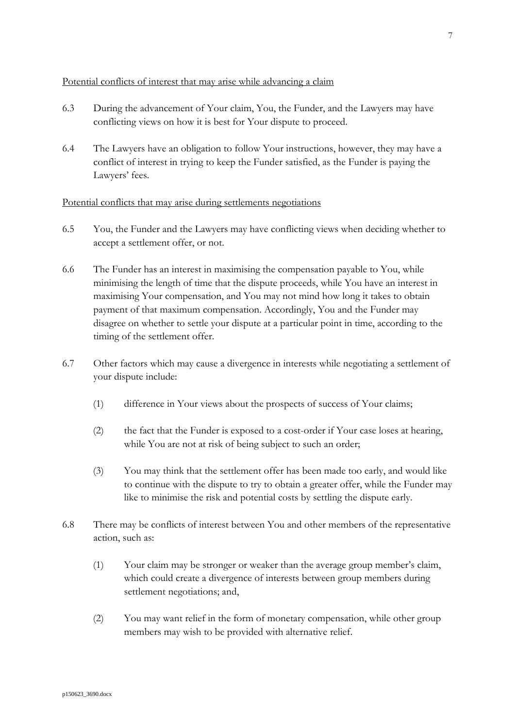#### Potential conflicts of interest that may arise while advancing a claim

- 6.3 During the advancement of Your claim, You, the Funder, and the Lawyers may have conflicting views on how it is best for Your dispute to proceed.
- 6.4 The Lawyers have an obligation to follow Your instructions, however, they may have a conflict of interest in trying to keep the Funder satisfied, as the Funder is paying the Lawyers' fees.

#### Potential conflicts that may arise during settlements negotiations

- 6.5 You, the Funder and the Lawyers may have conflicting views when deciding whether to accept a settlement offer, or not.
- 6.6 The Funder has an interest in maximising the compensation payable to You, while minimising the length of time that the dispute proceeds, while You have an interest in maximising Your compensation, and You may not mind how long it takes to obtain payment of that maximum compensation. Accordingly, You and the Funder may disagree on whether to settle your dispute at a particular point in time, according to the timing of the settlement offer.
- 6.7 Other factors which may cause a divergence in interests while negotiating a settlement of your dispute include:
	- (1) difference in Your views about the prospects of success of Your claims;
	- (2) the fact that the Funder is exposed to a cost-order if Your case loses at hearing, while You are not at risk of being subject to such an order;
	- (3) You may think that the settlement offer has been made too early, and would like to continue with the dispute to try to obtain a greater offer, while the Funder may like to minimise the risk and potential costs by settling the dispute early.
- 6.8 There may be conflicts of interest between You and other members of the representative action, such as:
	- (1) Your claim may be stronger or weaker than the average group member's claim, which could create a divergence of interests between group members during settlement negotiations; and,
	- (2) You may want relief in the form of monetary compensation, while other group members may wish to be provided with alternative relief.